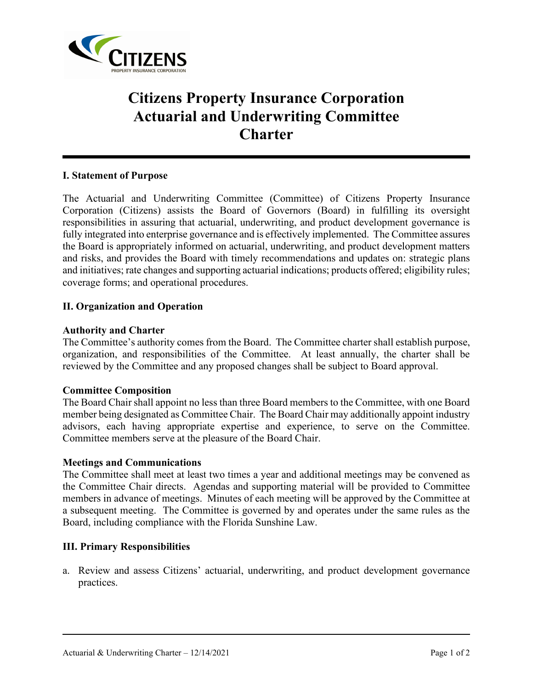

# **Citizens Property Insurance Corporation Actuarial and Underwriting Committee Charter**

## **I. Statement of Purpose**

The Actuarial and Underwriting Committee (Committee) of Citizens Property Insurance Corporation (Citizens) assists the Board of Governors (Board) in fulfilling its oversight responsibilities in assuring that actuarial, underwriting, and product development governance is fully integrated into enterprise governance and is effectively implemented. The Committee assures the Board is appropriately informed on actuarial, underwriting, and product development matters and risks, and provides the Board with timely recommendations and updates on: strategic plans and initiatives; rate changes and supporting actuarial indications; products offered; eligibility rules; coverage forms; and operational procedures.

## **II. Organization and Operation**

#### **Authority and Charter**

The Committee's authority comes from the Board. The Committee charter shall establish purpose, organization, and responsibilities of the Committee. At least annually, the charter shall be reviewed by the Committee and any proposed changes shall be subject to Board approval.

#### **Committee Composition**

The Board Chair shall appoint no less than three Board members to the Committee, with one Board member being designated as Committee Chair. The Board Chair may additionally appoint industry advisors, each having appropriate expertise and experience, to serve on the Committee. Committee members serve at the pleasure of the Board Chair.

#### **Meetings and Communications**

The Committee shall meet at least two times a year and additional meetings may be convened as the Committee Chair directs. Agendas and supporting material will be provided to Committee members in advance of meetings. Minutes of each meeting will be approved by the Committee at a subsequent meeting. The Committee is governed by and operates under the same rules as the Board, including compliance with the Florida Sunshine Law.

#### **III. Primary Responsibilities**

a. Review and assess Citizens' actuarial, underwriting, and product development governance practices.